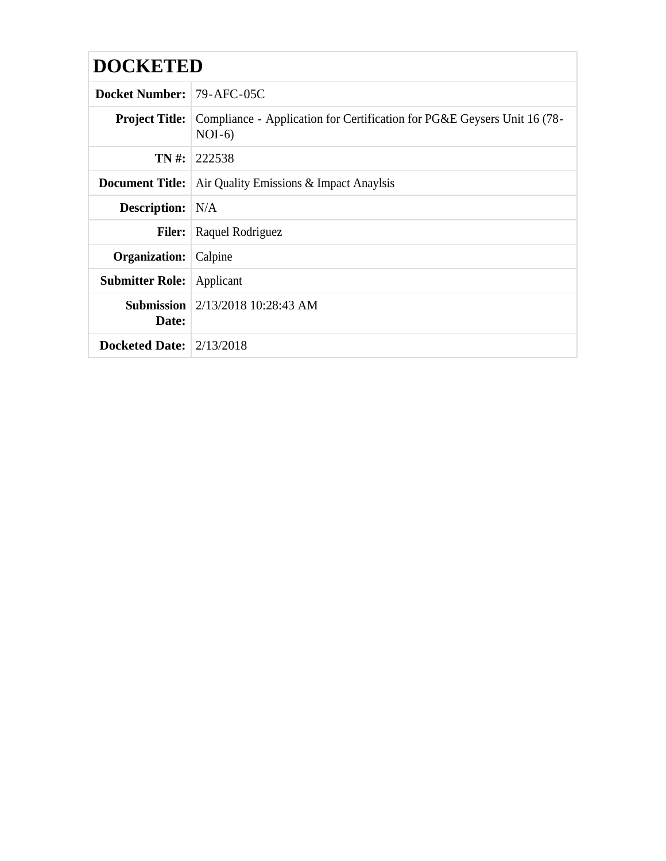| <b>DOCKETED</b>                  |                                                                                                            |  |  |  |
|----------------------------------|------------------------------------------------------------------------------------------------------------|--|--|--|
| <b>Docket Number: 79-AFC-05C</b> |                                                                                                            |  |  |  |
|                                  | <b>Project Title:</b> Compliance - Application for Certification for PG&E Geysers Unit 16 (78-<br>$NOI-6)$ |  |  |  |
|                                  | <b>TN</b> #:   222538                                                                                      |  |  |  |
| <b>Document Title:</b>           | Air Quality Emissions & Impact Anaylsis                                                                    |  |  |  |
| <b>Description:</b> N/A          |                                                                                                            |  |  |  |
| <b>Filer:</b>                    | Raquel Rodriguez                                                                                           |  |  |  |
| Organization:                    | Calpine                                                                                                    |  |  |  |
| <b>Submitter Role:</b>           | Applicant                                                                                                  |  |  |  |
| Date:                            | <b>Submission</b> $\left  \frac{2}{13/2018} \right $ 10:28:43 AM                                           |  |  |  |
| <b>Docketed Date:</b> 2/13/2018  |                                                                                                            |  |  |  |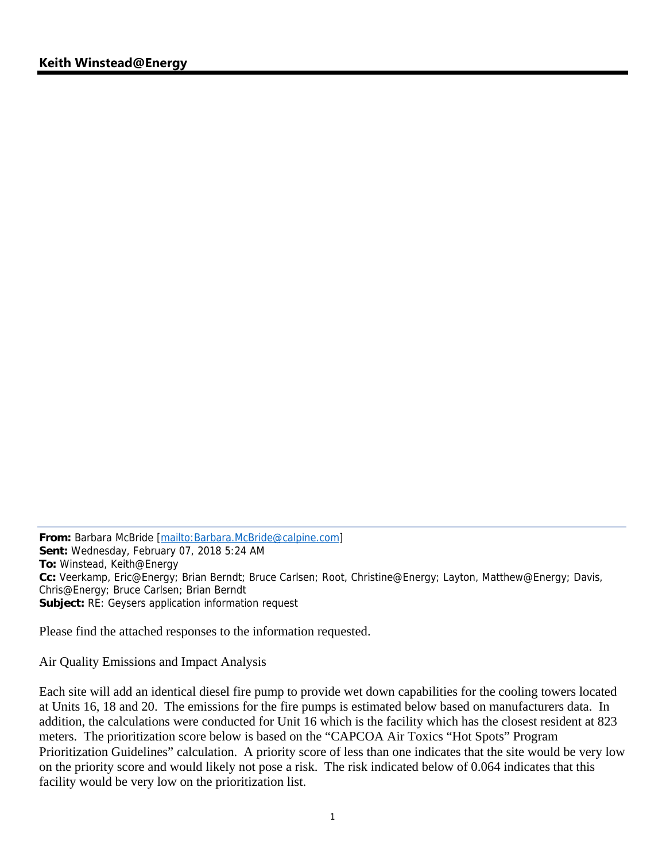**From:** Barbara McBride [mailto:Barbara.McBride@calpine.com] **Sent:** Wednesday, February 07, 2018 5:24 AM **To:** Winstead, Keith@Energy **Cc:** Veerkamp, Eric@Energy; Brian Berndt; Bruce Carlsen; Root, Christine@Energy; Layton, Matthew@Energy; Davis, Chris@Energy; Bruce Carlsen; Brian Berndt **Subject:** RE: Geysers application information request

Please find the attached responses to the information requested.

Air Quality Emissions and Impact Analysis

Each site will add an identical diesel fire pump to provide wet down capabilities for the cooling towers located at Units 16, 18 and 20. The emissions for the fire pumps is estimated below based on manufacturers data. In addition, the calculations were conducted for Unit 16 which is the facility which has the closest resident at 823 meters. The prioritization score below is based on the "CAPCOA Air Toxics "Hot Spots" Program Prioritization Guidelines" calculation. A priority score of less than one indicates that the site would be very low on the priority score and would likely not pose a risk. The risk indicated below of 0.064 indicates that this facility would be very low on the prioritization list.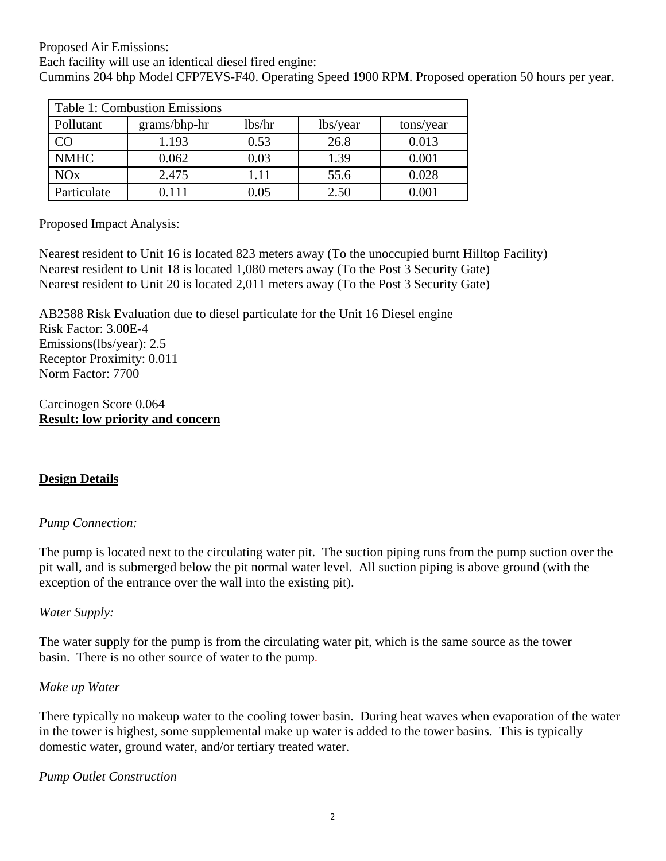Proposed Air Emissions:

Each facility will use an identical diesel fired engine:

Cummins 204 bhp Model CFP7EVS-F40. Operating Speed 1900 RPM. Proposed operation 50 hours per year.

| <b>Table 1: Combustion Emissions</b> |              |        |          |           |  |
|--------------------------------------|--------------|--------|----------|-----------|--|
| Pollutant                            | grams/bhp-hr | lbs/hr | lbs/year | tons/year |  |
|                                      | 1.193        | 0.53   | 26.8     | 0.013     |  |
| <b>NMHC</b>                          | 0.062        | 0.03   | 1.39     | 0.001     |  |
| NOx                                  | 2.475        | 1.11   | 55.6     | 0.028     |  |
| Particulate                          | 0.111        | 0.05   | 2.50     | 0.001     |  |

Proposed Impact Analysis:

Nearest resident to Unit 16 is located 823 meters away (To the unoccupied burnt Hilltop Facility) Nearest resident to Unit 18 is located 1,080 meters away (To the Post 3 Security Gate) Nearest resident to Unit 20 is located 2,011 meters away (To the Post 3 Security Gate)

AB2588 Risk Evaluation due to diesel particulate for the Unit 16 Diesel engine Risk Factor: 3.00E-4 Emissions(lbs/year): 2.5 Receptor Proximity: 0.011 Norm Factor: 7700

Carcinogen Score 0.064 **Result: low priority and concern** 

# **Design Details**

# *Pump Connection:*

The pump is located next to the circulating water pit. The suction piping runs from the pump suction over the pit wall, and is submerged below the pit normal water level. All suction piping is above ground (with the exception of the entrance over the wall into the existing pit).

*Water Supply:* 

The water supply for the pump is from the circulating water pit, which is the same source as the tower basin. There is no other source of water to the pump.

### *Make up Water*

There typically no makeup water to the cooling tower basin. During heat waves when evaporation of the water in the tower is highest, some supplemental make up water is added to the tower basins. This is typically domestic water, ground water, and/or tertiary treated water.

### *Pump Outlet Construction*